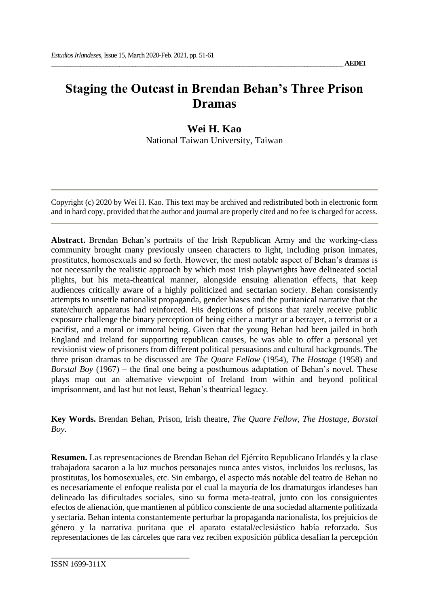# **Staging the Outcast in Brendan Behan's Three Prison Dramas**

# **Wei H. Kao**

National Taiwan University, Taiwan

Copyright (c) 2020 by Wei H. Kao. This text may be archived and redistributed both in electronic form and in hard copy, provided that the author and journal are properly cited and no fee is charged for access.

**Abstract.** Brendan Behan's portraits of the Irish Republican Army and the working-class community brought many previously unseen characters to light, including prison inmates, prostitutes, homosexuals and so forth. However, the most notable aspect of Behan's dramas is not necessarily the realistic approach by which most Irish playwrights have delineated social plights, but his meta-theatrical manner, alongside ensuing alienation effects, that keep audiences critically aware of a highly politicized and sectarian society. Behan consistently attempts to unsettle nationalist propaganda, gender biases and the puritanical narrative that the state/church apparatus had reinforced. His depictions of prisons that rarely receive public exposure challenge the binary perception of being either a martyr or a betrayer, a terrorist or a pacifist, and a moral or immoral being. Given that the young Behan had been jailed in both England and Ireland for supporting republican causes, he was able to offer a personal yet revisionist view of prisoners from different political persuasions and cultural backgrounds. The three prison dramas to be discussed are *The Quare Fellow* (1954), *The Hostage* (1958) and *Borstal Boy* (1967) – the final one being a posthumous adaptation of Behan's novel. These plays map out an alternative viewpoint of Ireland from within and beyond political imprisonment, and last but not least, Behan's theatrical legacy.

**Key Words.** Brendan Behan, Prison, Irish theatre, *The Quare Fellow, The Hostage, Borstal Boy*.

**Resumen.** Las representaciones de Brendan Behan del Ejército Republicano Irlandés y la clase trabajadora sacaron a la luz muchos personajes nunca antes vistos, incluidos los reclusos, las prostitutas, los homosexuales, etc. Sin embargo, el aspecto más notable del teatro de Behan no es necesariamente el enfoque realista por el cual la mayoría de los dramaturgos irlandeses han delineado las dificultades sociales, sino su forma meta-teatral, junto con los consiguientes efectos de alienación, que mantienen al público consciente de una sociedad altamente politizada y sectaria. Behan intenta constantemente perturbar la propaganda nacionalista, los prejuicios de género y la narrativa puritana que el aparato estatal/eclesiástico había reforzado. Sus representaciones de las cárceles que rara vez reciben exposición pública desafían la percepción

\_\_\_\_\_\_\_\_\_\_\_\_\_\_\_\_\_\_\_\_\_\_\_\_\_\_\_\_\_\_\_\_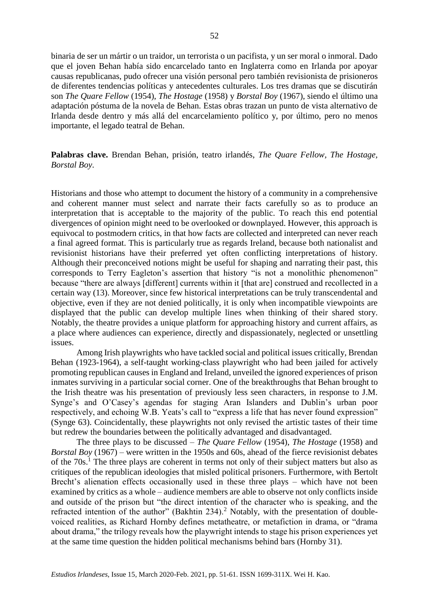binaria de ser un mártir o un traidor, un terrorista o un pacifista, y un ser moral o inmoral. Dado que el joven Behan había sido encarcelado tanto en Inglaterra como en Irlanda por apoyar causas republicanas, pudo ofrecer una visión personal pero también revisionista de prisioneros de diferentes tendencias políticas y antecedentes culturales. Los tres dramas que se discutirán son *The Quare Fellow* (1954), *The Hostage* (1958) y *Borstal Boy* (1967), siendo el último una adaptación póstuma de la novela de Behan. Estas obras trazan un punto de vista alternativo de Irlanda desde dentro y más allá del encarcelamiento político y, por último, pero no menos importante, el legado teatral de Behan.

**Palabras clave.** Brendan Behan, prisión, teatro irlandés, *The Quare Fellow, The Hostage, Borstal Boy*.

Historians and those who attempt to document the history of a community in a comprehensive and coherent manner must select and narrate their facts carefully so as to produce an interpretation that is acceptable to the majority of the public. To reach this end potential divergences of opinion might need to be overlooked or downplayed. However, this approach is equivocal to postmodern critics, in that how facts are collected and interpreted can never reach a final agreed format. This is particularly true as regards Ireland, because both nationalist and revisionist historians have their preferred yet often conflicting interpretations of history. Although their preconceived notions might be useful for shaping and narrating their past, this corresponds to Terry Eagleton's assertion that history "is not a monolithic phenomenon" because "there are always [different] currents within it [that are] construed and recollected in a certain way (13). Moreover, since few historical interpretations can be truly transcendental and objective, even if they are not denied politically, it is only when incompatible viewpoints are displayed that the public can develop multiple lines when thinking of their shared story. Notably, the theatre provides a unique platform for approaching history and current affairs, as a place where audiences can experience, directly and dispassionately, neglected or unsettling issues.

Among Irish playwrights who have tackled social and political issues critically, Brendan Behan (1923-1964), a self-taught working-class playwright who had been jailed for actively promoting republican causes in England and Ireland, unveiled the ignored experiences of prison inmates surviving in a particular social corner. One of the breakthroughs that Behan brought to the Irish theatre was his presentation of previously less seen characters, in response to J.M. Synge's and O'Casey's agendas for staging Aran Islanders and Dublin's urban poor respectively, and echoing W.B. Yeats's call to "express a life that has never found expression" (Synge 63). Coincidentally, these playwrights not only revised the artistic tastes of their time but redrew the boundaries between the politically advantaged and disadvantaged.

The three plays to be discussed – *The Quare Fellow* (1954), *The Hostage* (1958) and *Borstal Boy* (1967) – were written in the 1950s and 60s, ahead of the fierce revisionist debates of the  $70s<sup>1</sup>$ . The three plays are coherent in terms not only of their subject matters but also as critiques of the republican ideologies that misled political prisoners. Furthermore, with Bertolt Brecht's alienation effects occasionally used in these three plays – which have not been examined by critics as a whole – audience members are able to observe not only conflicts inside and outside of the prison but "the direct intention of the character who is speaking, and the refracted intention of the author" (Bakhtin 234).<sup>2</sup> Notably, with the presentation of doublevoiced realities, as Richard Hornby defines metatheatre, or metafiction in drama, or "drama about drama," the trilogy reveals how the playwright intends to stage his prison experiences yet at the same time question the hidden political mechanisms behind bars (Hornby 31).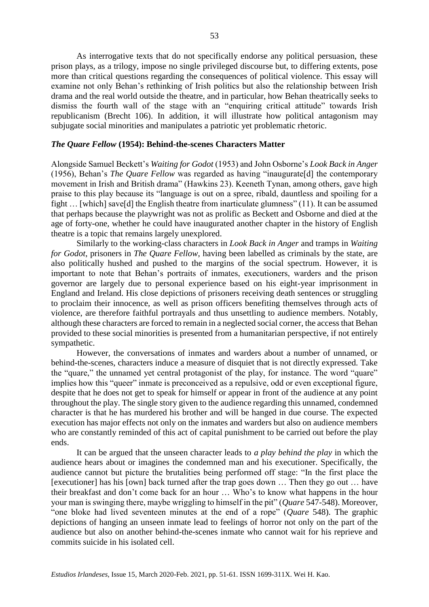As interrogative texts that do not specifically endorse any political persuasion, these prison plays, as a trilogy, impose no single privileged discourse but, to differing extents, pose more than critical questions regarding the consequences of political violence. This essay will examine not only Behan's rethinking of Irish politics but also the relationship between Irish drama and the real world outside the theatre, and in particular, how Behan theatrically seeks to dismiss the fourth wall of the stage with an "enquiring critical attitude" towards Irish republicanism (Brecht 106). In addition, it will illustrate how political antagonism may subjugate social minorities and manipulates a patriotic yet problematic rhetoric.

# *The Quare Fellow* **(1954): Behind-the-scenes Characters Matter**

Alongside Samuel Beckett's *Waiting for Godot* (1953) and John Osborne's *Look Back in Anger*  (1956), Behan's *The Quare Fellow* was regarded as having "inaugurate[d] the contemporary movement in Irish and British drama" (Hawkins 23). Keeneth Tynan, among others, gave high praise to this play because its "language is out on a spree, ribald, dauntless and spoiling for a fight … [which] save[d] the English theatre from inarticulate glumness" (11). It can be assumed that perhaps because the playwright was not as prolific as Beckett and Osborne and died at the age of forty-one, whether he could have inaugurated another chapter in the history of English theatre is a topic that remains largely unexplored.

Similarly to the working-class characters in *Look Back in Anger* and tramps in *Waiting for Godot*, prisoners in *The Quare Fellow*, having been labelled as criminals by the state, are also politically hushed and pushed to the margins of the social spectrum. However, it is important to note that Behan's portraits of inmates, executioners, warders and the prison governor are largely due to personal experience based on his eight-year imprisonment in England and Ireland. His close depictions of prisoners receiving death sentences or struggling to proclaim their innocence, as well as prison officers benefiting themselves through acts of violence, are therefore faithful portrayals and thus unsettling to audience members. Notably, although these characters are forced to remain in a neglected social corner, the access that Behan provided to these social minorities is presented from a humanitarian perspective, if not entirely sympathetic.

However, the conversations of inmates and warders about a number of unnamed, or behind-the-scenes, characters induce a measure of disquiet that is not directly expressed. Take the "quare," the unnamed yet central protagonist of the play, for instance. The word "quare" implies how this "queer" inmate is preconceived as a repulsive, odd or even exceptional figure, despite that he does not get to speak for himself or appear in front of the audience at any point throughout the play. The single story given to the audience regarding this unnamed, condemned character is that he has murdered his brother and will be hanged in due course. The expected execution has major effects not only on the inmates and warders but also on audience members who are constantly reminded of this act of capital punishment to be carried out before the play ends.

It can be argued that the unseen character leads to *a play behind the play* in which the audience hears about or imagines the condemned man and his executioner. Specifically, the audience cannot but picture the brutalities being performed off stage: "In the first place the [executioner] has his [own] back turned after the trap goes down … Then they go out … have their breakfast and don't come back for an hour … Who's to know what happens in the hour your man is swinging there, maybe wriggling to himself in the pit" (*Quare* 547-548). Moreover, "one bloke had lived seventeen minutes at the end of a rope" (*Quare* 548). The graphic depictions of hanging an unseen inmate lead to feelings of horror not only on the part of the audience but also on another behind-the-scenes inmate who cannot wait for his reprieve and commits suicide in his isolated cell.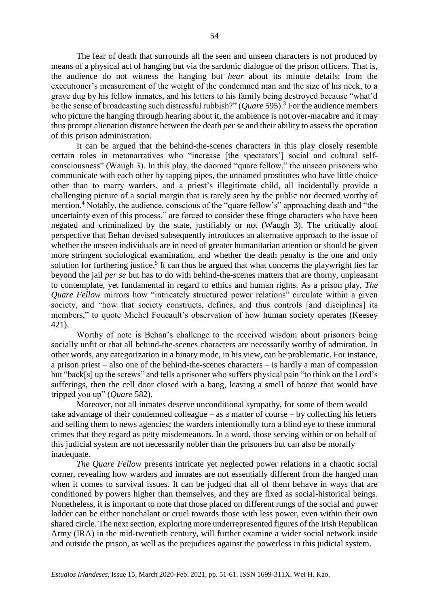The fear of death that surrounds all the seen and unseen characters is not produced by means of a physical act of hanging but via the sardonic dialogue of the prison officers. That is, the audience do not witness the hanging but *hear* about its minute details: from the executioner's measurement of the weight of the condemned man and the size of his neck, to a grave dug by his fellow inmates, and his letters to his family being destroyed because "what'd be the sense of broadcasting such distressful rubbish?" (*Quare* 595).<sup>3</sup> For the audience members who picture the hanging through hearing about it, the ambience is not over-macabre and it may thus prompt alienation distance between the death *per se* and their ability to assess the operation of this prison administration.

It can be argued that the behind-the-scenes characters in this play closely resemble certain roles in metanarratives who "increase [the spectators'] social and cultural selfconsciousness" (Waugh 3). In this play, the doomed "quare fellow," the unseen prisoners who communicate with each other by tapping pipes, the unnamed prostitutes who have little choice other than to marry warders, and a priest's illegitimate child, all incidentally provide a challenging picture of a social margin that is rarely seen by the public nor deemed worthy of mention.<sup>4</sup> Notably, the audience, conscious of the "quare fellow's" approaching death and "the uncertainty even of this process," are forced to consider these fringe characters who have been negated and criminalized by the state, justifiably or not (Waugh 3). The critically aloof perspective that Behan devised subsequently introduces an alternative approach to the issue of whether the unseen individuals are in need of greater humanitarian attention or should be given more stringent sociological examination, and whether the death penalty is the one and only solution for furthering justice.<sup>5</sup> It can thus be argued that what concerns the playwright lies far beyond the jail *per se* but has to do with behind-the-scenes matters that are thorny, unpleasant to contemplate, yet fundamental in regard to ethics and human rights. As a prison play, *The Quare Fellow* mirrors how "intricately structured power relations" circulate within a given society, and "how that society constructs, defines, and thus controls [and disciplines] its members," to quote Michel Foucault's observation of how human society operates (Keesey 421).

Worthy of note is Behan's challenge to the received wisdom about prisoners being socially unfit or that all behind-the-scenes characters are necessarily worthy of admiration. In other words, any categorization in a binary mode, in his view, can be problematic. For instance, a prison priest – also one of the behind-the-scenes characters – is hardly a man of compassion but "back[s] up the screws" and tells a prisoner who suffers physical pain "to think on the Lord's sufferings, then the cell door closed with a bang, leaving a smell of booze that would have tripped you up" (*Quare* 582).

Moreover, not all inmates deserve unconditional sympathy, for some of them would take advantage of their condemned colleague – as a matter of course – by collecting his letters and selling them to news agencies; the warders intentionally turn a blind eye to these immoral crimes that they regard as petty misdemeanors. In a word, those serving within or on behalf of this judicial system are not necessarily nobler than the prisoners but can also be morally inadequate.

*The Quare Fellow* presents intricate yet neglected power relations in a chaotic social corner, revealing how warders and inmates are not essentially different from the hanged man when it comes to survival issues. It can be judged that all of them behave in ways that are conditioned by powers higher than themselves, and they are fixed as social-historical beings. Nonetheless, it is important to note that those placed on different rungs of the social and power ladder can be either nonchalant or cruel towards those with less power, even within their own shared circle. The next section, exploring more underrepresented figures of the Irish Republican Army (IRA) in the mid-twentieth century, will further examine a wider social network inside and outside the prison, as well as the prejudices against the powerless in this judicial system.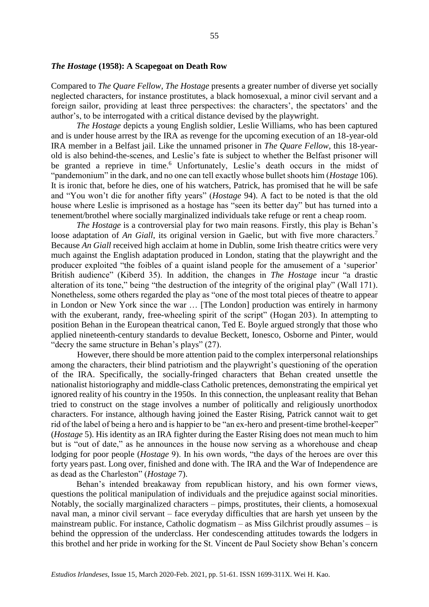# *The Hostage* **(1958): A Scapegoat on Death Row**

Compared to *The Quare Fellow*, *The Hostage* presents a greater number of diverse yet socially neglected characters, for instance prostitutes, a black homosexual, a minor civil servant and a foreign sailor, providing at least three perspectives: the characters', the spectators' and the author's, to be interrogated with a critical distance devised by the playwright.

*The Hostage* depicts a young English soldier, Leslie Williams, who has been captured and is under house arrest by the IRA as revenge for the upcoming execution of an 18-year-old IRA member in a Belfast jail. Like the unnamed prisoner in *The Quare Fellow*, this 18-yearold is also behind-the-scenes, and Leslie's fate is subject to whether the Belfast prisoner will be granted a reprieve in time.<sup>6</sup> Unfortunately, Leslie's death occurs in the midst of "pandemonium" in the dark, and no one can tell exactly whose bullet shoots him (*Hostage* 106). It is ironic that, before he dies, one of his watchers, Patrick, has promised that he will be safe and "You won't die for another fifty years" (*Hostage* 94). A fact to be noted is that the old house where Leslie is imprisoned as a hostage has "seen its better day" but has turned into a tenement/brothel where socially marginalized individuals take refuge or rent a cheap room.

*The Hostage* is a controversial play for two main reasons. Firstly, this play is Behan's loose adaptation of *An Giall*, its original version in Gaelic, but with five more characters.<sup>7</sup> Because *An Giall* received high acclaim at home in Dublin, some Irish theatre critics were very much against the English adaptation produced in London, stating that the playwright and the producer exploited "the foibles of a quaint island people for the amusement of a 'superior' British audience" (Kiberd 35). In addition, the changes in *The Hostage* incur "a drastic alteration of its tone," being "the destruction of the integrity of the original play" (Wall 171). Nonetheless, some others regarded the play as "one of the most total pieces of theatre to appear in London or New York since the war … [The London] production was entirely in harmony with the exuberant, randy, free-wheeling spirit of the script" (Hogan 203). In attempting to position Behan in the European theatrical canon, Ted E. Boyle argued strongly that those who applied nineteenth-century standards to devalue Beckett, Ionesco, Osborne and Pinter, would "decry the same structure in Behan's plays" (27).

However, there should be more attention paid to the complex interpersonal relationships among the characters, their blind patriotism and the playwright's questioning of the operation of the IRA. Specifically, the socially-fringed characters that Behan created unsettle the nationalist historiography and middle-class Catholic pretences, demonstrating the empirical yet ignored reality of his country in the 1950s. In this connection, the unpleasant reality that Behan tried to construct on the stage involves a number of politically and religiously unorthodox characters. For instance, although having joined the Easter Rising, Patrick cannot wait to get rid of the label of being a hero and is happier to be "an ex-hero and present-time brothel-keeper" (*Hostage* 5). His identity as an IRA fighter during the Easter Rising does not mean much to him but is "out of date," as he announces in the house now serving as a whorehouse and cheap lodging for poor people (*Hostage* 9). In his own words, "the days of the heroes are over this forty years past. Long over, finished and done with. The IRA and the War of Independence are as dead as the Charleston" (*Hostage* 7).

Behan's intended breakaway from republican history, and his own former views, questions the political manipulation of individuals and the prejudice against social minorities. Notably, the socially marginalized characters – pimps, prostitutes, their clients, a homosexual naval man, a minor civil servant – face everyday difficulties that are harsh yet unseen by the mainstream public. For instance, Catholic dogmatism – as Miss Gilchrist proudly assumes – is behind the oppression of the underclass. Her condescending attitudes towards the lodgers in this brothel and her pride in working for the St. Vincent de Paul Society show Behan's concern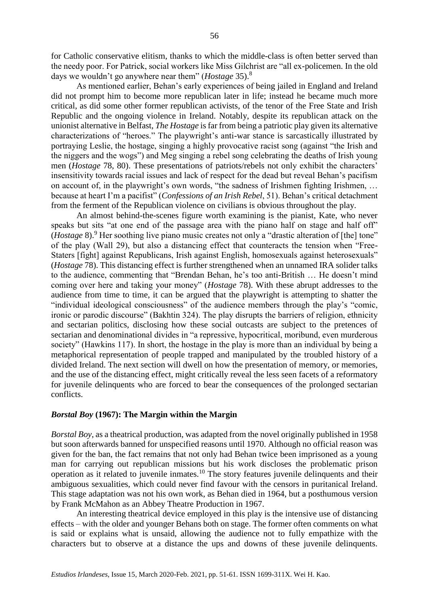for Catholic conservative elitism, thanks to which the middle-class is often better served than the needy poor. For Patrick, social workers like Miss Gilchrist are "all ex-policemen. In the old days we wouldn't go anywhere near them" (*Hostage* 35).<sup>8</sup>

As mentioned earlier, Behan's early experiences of being jailed in England and Ireland did not prompt him to become more republican later in life; instead he became much more critical, as did some other former republican activists, of the tenor of the Free State and Irish Republic and the ongoing violence in Ireland. Notably, despite its republican attack on the unionist alternative in Belfast, *The Hostage* is far from being a patriotic play given its alternative characterizations of "heroes." The playwright's anti-war stance is sarcastically illustrated by portraying Leslie, the hostage, singing a highly provocative racist song (against "the Irish and the niggers and the wogs") and Meg singing a rebel song celebrating the deaths of Irish young men (*Hostage* 78, 80). These presentations of patriots/rebels not only exhibit the characters' insensitivity towards racial issues and lack of respect for the dead but reveal Behan's pacifism on account of, in the playwright's own words, "the sadness of Irishmen fighting Irishmen, ... because at heart I'm a pacifist" (*Confessions of an Irish Rebel*, 51). Behan's critical detachment from the ferment of the Republican violence on civilians is obvious throughout the play.

An almost behind-the-scenes figure worth examining is the pianist, Kate, who never speaks but sits "at one end of the passage area with the piano half on stage and half off" (*Hostage* 8).<sup>9</sup> Her soothing live piano music creates not only a "drastic alteration of [the] tone" of the play (Wall 29), but also a distancing effect that counteracts the tension when "Free-Staters [fight] against Republicans, Irish against English, homosexuals against heterosexuals" (*Hostage* 78). This distancing effect is further strengthened when an unnamed IRA solider talks to the audience, commenting that "Brendan Behan, he's too anti-British … He doesn't mind coming over here and taking your money" (*Hostage* 78). With these abrupt addresses to the audience from time to time, it can be argued that the playwright is attempting to shatter the "individual ideological consciousness" of the audience members through the play's "comic, ironic or parodic discourse" (Bakhtin 324). The play disrupts the barriers of religion, ethnicity and sectarian politics, disclosing how these social outcasts are subject to the pretences of sectarian and denominational divides in "a repressive, hypocritical, moribund, even murderous society" (Hawkins 117). In short, the hostage in the play is more than an individual by being a metaphorical representation of people trapped and manipulated by the troubled history of a divided Ireland. The next section will dwell on how the presentation of memory, or memories, and the use of the distancing effect, might critically reveal the less seen facets of a reformatory for juvenile delinquents who are forced to bear the consequences of the prolonged sectarian conflicts.

# *Borstal Boy* **(1967): The Margin within the Margin**

*Borstal Boy*, as a theatrical production, was adapted from the novel originally published in 1958 but soon afterwards banned for unspecified reasons until 1970. Although no official reason was given for the ban, the fact remains that not only had Behan twice been imprisoned as a young man for carrying out republican missions but his work discloses the problematic prison operation as it related to juvenile inmates.<sup>10</sup> The story features juvenile delinquents and their ambiguous sexualities, which could never find favour with the censors in puritanical Ireland. This stage adaptation was not his own work, as Behan died in 1964, but a posthumous version by Frank McMahon as an Abbey Theatre Production in 1967.

An interesting theatrical device employed in this play is the intensive use of distancing effects – with the older and younger Behans both on stage. The former often comments on what is said or explains what is unsaid, allowing the audience not to fully empathize with the characters but to observe at a distance the ups and downs of these juvenile delinquents.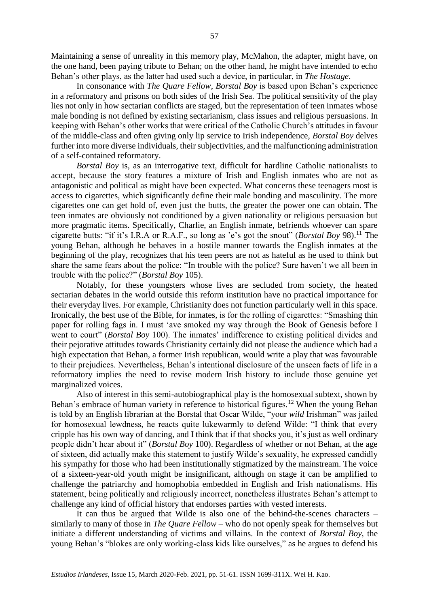Maintaining a sense of unreality in this memory play, McMahon, the adapter, might have, on the one hand, been paying tribute to Behan; on the other hand, he might have intended to echo Behan's other plays, as the latter had used such a device, in particular, in *The Hostage*.

In consonance with *The Quare Fellow*, *Borstal Boy* is based upon Behan's experience in a reformatory and prisons on both sides of the Irish Sea. The political sensitivity of the play lies not only in how sectarian conflicts are staged, but the representation of teen inmates whose male bonding is not defined by existing sectarianism, class issues and religious persuasions. In keeping with Behan's other works that were critical of the Catholic Church's attitudes in favour of the middle-class and often giving only lip service to Irish independence, *Borstal Boy* delves further into more diverse individuals, their subjectivities, and the malfunctioning administration of a self-contained reformatory.

*Borstal Boy* is, as an interrogative text, difficult for hardline Catholic nationalists to accept, because the story features a mixture of Irish and English inmates who are not as antagonistic and political as might have been expected. What concerns these teenagers most is access to cigarettes, which significantly define their male bonding and masculinity. The more cigarettes one can get hold of, even just the butts, the greater the power one can obtain. The teen inmates are obviously not conditioned by a given nationality or religious persuasion but more pragmatic items. Specifically, Charlie, an English inmate, befriends whoever can spare cigarette butts: "if it's I.R.A or R.A.F., so long as 'e's got the snout" (*Borstal Boy* 98).<sup>11</sup> The young Behan, although he behaves in a hostile manner towards the English inmates at the beginning of the play, recognizes that his teen peers are not as hateful as he used to think but share the same fears about the police: "In trouble with the police? Sure haven't we all been in trouble with the police?" (*Borstal Boy* 105).

Notably, for these youngsters whose lives are secluded from society, the heated sectarian debates in the world outside this reform institution have no practical importance for their everyday lives. For example, Christianity does not function particularly well in this space. Ironically, the best use of the Bible, for inmates, is for the rolling of cigarettes: "Smashing thin paper for rolling fags in. I must 'ave smoked my way through the Book of Genesis before I went to court" (*Borstal Boy* 100). The inmates' indifference to existing political divides and their pejorative attitudes towards Christianity certainly did not please the audience which had a high expectation that Behan, a former Irish republican, would write a play that was favourable to their prejudices. Nevertheless, Behan's intentional disclosure of the unseen facts of life in a reformatory implies the need to revise modern Irish history to include those genuine yet marginalized voices.

Also of interest in this semi-autobiographical play is the homosexual subtext, shown by Behan's embrace of human variety in reference to historical figures.<sup>12</sup> When the young Behan is told by an English librarian at the Borstal that Oscar Wilde, "your *wild* Irishman" was jailed for homosexual lewdness, he reacts quite lukewarmly to defend Wilde: "I think that every cripple has his own way of dancing, and I think that if that shocks you, it's just as well ordinary people didn't hear about it" (*Borstal Boy* 100). Regardless of whether or not Behan, at the age of sixteen, did actually make this statement to justify Wilde's sexuality, he expressed candidly his sympathy for those who had been institutionally stigmatized by the mainstream. The voice of a sixteen-year-old youth might be insignificant, although on stage it can be amplified to challenge the patriarchy and homophobia embedded in English and Irish nationalisms. His statement, being politically and religiously incorrect, nonetheless illustrates Behan's attempt to challenge any kind of official history that endorses parties with vested interests.

It can thus be argued that Wilde is also one of the behind-the-scenes characters – similarly to many of those in *The Quare Fellow* – who do not openly speak for themselves but initiate a different understanding of victims and villains. In the context of *Borstal Boy*, the young Behan's "blokes are only working-class kids like ourselves," as he argues to defend his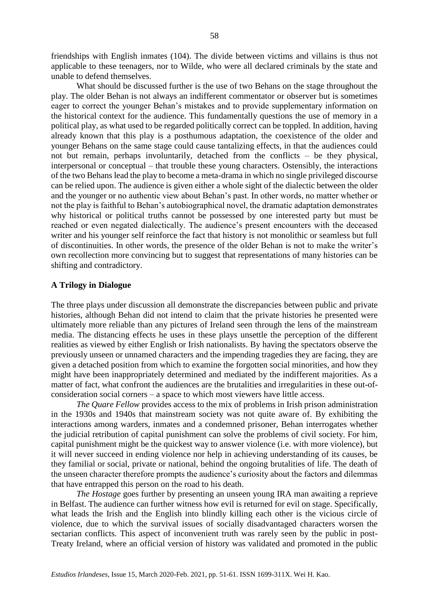friendships with English inmates (104). The divide between victims and villains is thus not applicable to these teenagers, nor to Wilde, who were all declared criminals by the state and unable to defend themselves.

What should be discussed further is the use of two Behans on the stage throughout the play. The older Behan is not always an indifferent commentator or observer but is sometimes eager to correct the younger Behan's mistakes and to provide supplementary information on the historical context for the audience. This fundamentally questions the use of memory in a political play, as what used to be regarded politically correct can be toppled. In addition, having already known that this play is a posthumous adaptation, the coexistence of the older and younger Behans on the same stage could cause tantalizing effects, in that the audiences could not but remain, perhaps involuntarily, detached from the conflicts – be they physical, interpersonal or conceptual – that trouble these young characters. Ostensibly, the interactions of the two Behans lead the play to become a meta-drama in which no single privileged discourse can be relied upon. The audience is given either a whole sight of the dialectic between the older and the younger or no authentic view about Behan's past. In other words, no matter whether or not the play is faithful to Behan's autobiographical novel, the dramatic adaptation demonstrates why historical or political truths cannot be possessed by one interested party but must be reached or even negated dialectically. The audience's present encounters with the deceased writer and his younger self reinforce the fact that history is not monolithic or seamless but full of discontinuities. In other words, the presence of the older Behan is not to make the writer's own recollection more convincing but to suggest that representations of many histories can be shifting and contradictory.

# **A Trilogy in Dialogue**

The three plays under discussion all demonstrate the discrepancies between public and private histories, although Behan did not intend to claim that the private histories he presented were ultimately more reliable than any pictures of Ireland seen through the lens of the mainstream media. The distancing effects he uses in these plays unsettle the perception of the different realities as viewed by either English or Irish nationalists. By having the spectators observe the previously unseen or unnamed characters and the impending tragedies they are facing, they are given a detached position from which to examine the forgotten social minorities, and how they might have been inappropriately determined and mediated by the indifferent majorities. As a matter of fact, what confront the audiences are the brutalities and irregularities in these out-ofconsideration social corners – a space to which most viewers have little access.

*The Quare Fellow* provides access to the mix of problems in Irish prison administration in the 1930s and 1940s that mainstream society was not quite aware of. By exhibiting the interactions among warders, inmates and a condemned prisoner, Behan interrogates whether the judicial retribution of capital punishment can solve the problems of civil society. For him, capital punishment might be the quickest way to answer violence (i.e. with more violence), but it will never succeed in ending violence nor help in achieving understanding of its causes, be they familial or social, private or national, behind the ongoing brutalities of life. The death of the unseen character therefore prompts the audience's curiosity about the factors and dilemmas that have entrapped this person on the road to his death.

*The Hostage* goes further by presenting an unseen young IRA man awaiting a reprieve in Belfast. The audience can further witness how evil is returned for evil on stage. Specifically, what leads the Irish and the English into blindly killing each other is the vicious circle of violence, due to which the survival issues of socially disadvantaged characters worsen the sectarian conflicts. This aspect of inconvenient truth was rarely seen by the public in post-Treaty Ireland, where an official version of history was validated and promoted in the public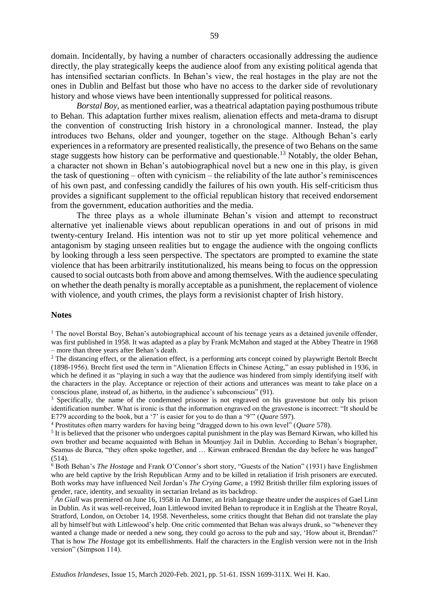domain. Incidentally, by having a number of characters occasionally addressing the audience directly, the play strategically keeps the audience aloof from any existing political agenda that has intensified sectarian conflicts. In Behan's view, the real hostages in the play are not the ones in Dublin and Belfast but those who have no access to the darker side of revolutionary history and whose views have been intentionally suppressed for political reasons.

*Borstal Boy*, as mentioned earlier, was a theatrical adaptation paying posthumous tribute to Behan. This adaptation further mixes realism, alienation effects and meta-drama to disrupt the convention of constructing Irish history in a chronological manner. Instead, the play introduces two Behans, older and younger, together on the stage. Although Behan's early experiences in a reformatory are presented realistically, the presence of two Behans on the same stage suggests how history can be performative and questionable.<sup>13</sup> Notably, the older Behan, a character not shown in Behan's autobiographical novel but a new one in this play, is given the task of questioning – often with cynicism – the reliability of the late author's reminiscences of his own past, and confessing candidly the failures of his own youth. His self-criticism thus provides a significant supplement to the official republican history that received endorsement from the government, education authorities and the media.

The three plays as a whole illuminate Behan's vision and attempt to reconstruct alternative yet inalienable views about republican operations in and out of prisons in mid twenty-century Ireland. His intention was not to stir up yet more political vehemence and antagonism by staging unseen realities but to engage the audience with the ongoing conflicts by looking through a less seen perspective. The spectators are prompted to examine the state violence that has been arbitrarily institutionalized, his means being to focus on the oppression caused to social outcasts both from above and among themselves. With the audience speculating on whether the death penalty is morally acceptable as a punishment, the replacement of violence with violence, and youth crimes, the plays form a revisionist chapter of Irish history.

#### **Notes**

<sup>1</sup> The novel Borstal Boy, Behan's autobiographical account of his teenage years as a detained juvenile offender, was first published in 1958. It was adapted as a play by Frank McMahon and staged at the Abbey Theatre in 1968 – more than three years after Behan's death.

<sup>2</sup> The distancing effect, or the alienation effect, is a performing arts concept coined by playwright Bertolt Brecht (1898-1956). Brecht first used the term in "Alienation Effects in Chinese Acting," an essay published in 1936, in which he defined it as "playing in such a way that the audience was hindered from simply identifying itself with the characters in the play. Acceptance or rejection of their actions and utterances was meant to take place on a conscious plane, instead of, as hitherto, in the audience's subconscious" (91).

<sup>3</sup> Specifically, the name of the condemned prisoner is not engraved on his gravestone but only his prison identification number. What is ironic is that the information engraved on the gravestone is incorrect: "It should be E779 according to the book, but a '7' is easier for you to do than a '9'" (*Quare* 597).

<sup>4</sup> Prostitutes often marry warders for having being "dragged down to his own level" (*Quare* 578).

<sup>5</sup> It is believed that the prisoner who undergoes capital punishment in the play was Bernard Kirwan, who killed his own brother and became acquainted with Behan in Mountjoy Jail in Dublin. According to Behan's biographer, Seamus de Burca, "they often spoke together, and ... Kirwan embraced Brendan the day before he was hanged" (514).

<sup>6</sup> Both Behan's *The Hostage* and Frank O'Connor's short story, "Guests of the Nation" (1931) have Englishmen who are held captive by the Irish Republican Army and to be killed in retaliation if Irish prisoners are executed. Both works may have influenced Neil Jordan's *The Crying Game*, a 1992 British thriller film exploring issues of gender, race, identity, and sexuality in sectarian Ireland as its backdrop.

<sup>7</sup> *An Giall* was premiered on June 16, 1958 in An Damer, an Irish language theatre under the auspices of Gael Linn in Dublin. As it was well-received, Joan Littlewood invited Behan to reproduce it in English at the Theatre Royal, Stratford, London, on October 14, 1958. Nevertheless, some critics thought that Behan did not translate the play all by himself but with Littlewood's help. One critic commented that Behan was always drunk, so "whenever they wanted a change made or needed a new song, they could go across to the pub and say, 'How about it, Brendan?' That is how *The Hostage* got its embellishments. Half the characters in the English version were not in the Irish version" (Simpson 114).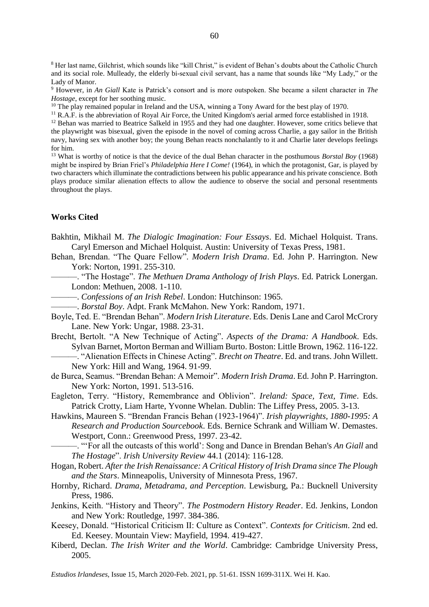<sup>8</sup> Her last name, Gilchrist, which sounds like "kill Christ," is evident of Behan's doubts about the Catholic Church and its social role. Mulleady, the elderly bi-sexual civil servant, has a name that sounds like "My Lady," or the Lady of Manor.

<sup>9</sup> However, in *An Giall* Kate is Patrick's consort and is more outspoken. She became a silent character in *The Hostage*, except for her soothing music.

<sup>10</sup> The play remained popular in Ireland and the USA, winning a Tony Award for the best play of 1970.

<sup>11</sup> R.A.F. is the abbreviation of Royal Air Force, the United Kingdom's aerial armed force established in 1918.

<sup>12</sup> Behan was married to Beatrice Salkeld in 1955 and they had one daughter. However, some critics believe that the playwright was bisexual, given the episode in the novel of coming across Charlie, a gay sailor in the British navy, having sex with another boy; the young Behan reacts nonchalantly to it and Charlie later develops feelings for him.

<sup>13</sup> What is worthy of notice is that the device of the dual Behan character in the posthumous *Borstal Boy* (1968) might be inspired by Brian Friel's *Philadelphia Here I Come!* (1964), in which the protagonist, Gar, is played by two characters which illuminate the contradictions between his public appearance and his private conscience. Both plays produce similar alienation effects to allow the audience to observe the social and personal resentments throughout the plays.

# **Works Cited**

- Bakhtin, Mikhail M. *The Dialogic Imagination: Four Essays*. Ed. Michael Holquist. Trans. Caryl Emerson and Michael Holquist. Austin: University of Texas Press, 1981.
- Behan, Brendan. "The Quare Fellow". *Modern Irish Drama*. Ed. John P. Harrington. New York: Norton, 1991. 255-310.
	- ———. "The Hostage". *The Methuen Drama Anthology of Irish Plays*. Ed. Patrick Lonergan. London: Methuen, 2008. 1-110.
	- ———. *Confessions of an Irish Rebel*. London: Hutchinson: 1965.
	- ———. *Borstal Boy*. Adpt. Frank McMahon. New York: Random, 1971.
- Boyle, Ted. E. "Brendan Behan". *Modern Irish Literature*. Eds. Denis Lane and Carol McCrory Lane. New York: Ungar, 1988. 23-31.
- Brecht, Bertolt. "A New Technique of Acting". *Aspects of the Drama: A Handbook*. Eds. Sylvan Barnet, Morton Berman and William Burto. Boston: Little Brown, 1962. 116-122.

———. "Alienation Effects in Chinese Acting". *Brecht on Theatre*. Ed. and trans. John Willett. New York: Hill and Wang, 1964. 91-99.

de Burca, Seamus. "Brendan Behan: A Memoir". *Modern Irish Drama*. Ed. John P. Harrington. New York: Norton, 1991. 513-516.

Eagleton, Terry. "History, Remembrance and Oblivion". *Ireland: Space, Text, Time*. Eds. Patrick Crotty, Liam Harte, Yvonne Whelan. Dublin: The Liffey Press, 2005. 3-13.

- Hawkins, Maureen S. "Brendan Francis Behan (1923-1964)". *Irish playwrights, 1880-1995: A Research and Production Sourcebook*. Eds. Bernice Schrank and William W. Demastes. Westport, Conn.: Greenwood Press, 1997. 23-42.
- ———. "'For all the outcasts of this world': Song and Dance in Brendan Behan's *An Giall* and *The Hostage*". *Irish University Review* 44.1 (2014): 116-128.
- Hogan, Robert. *After the Irish Renaissance: A Critical History of Irish Drama since The Plough and the Stars*. Minneapolis, University of Minnesota Press, 1967.
- Hornby, Richard. *Drama, Metadrama, and Perception*. Lewisburg, Pa.: Bucknell University Press, 1986.
- Jenkins, Keith. "History and Theory". *The Postmodern History Reader*. Ed. Jenkins, London and New York: Routledge, 1997. 384-386.
- Keesey, Donald. "Historical Criticism II: Culture as Context". *Contexts for Criticism*. 2nd ed. Ed. Keesey. Mountain View: Mayfield, 1994. 419-427.
- Kiberd, Declan. *The Irish Writer and the World*. Cambridge: Cambridge University Press, 2005.

*Estudios Irlandeses*, Issue 15, March 2020-Feb. 2021, pp. 51-61. ISSN 1699-311X. Wei H. Kao.